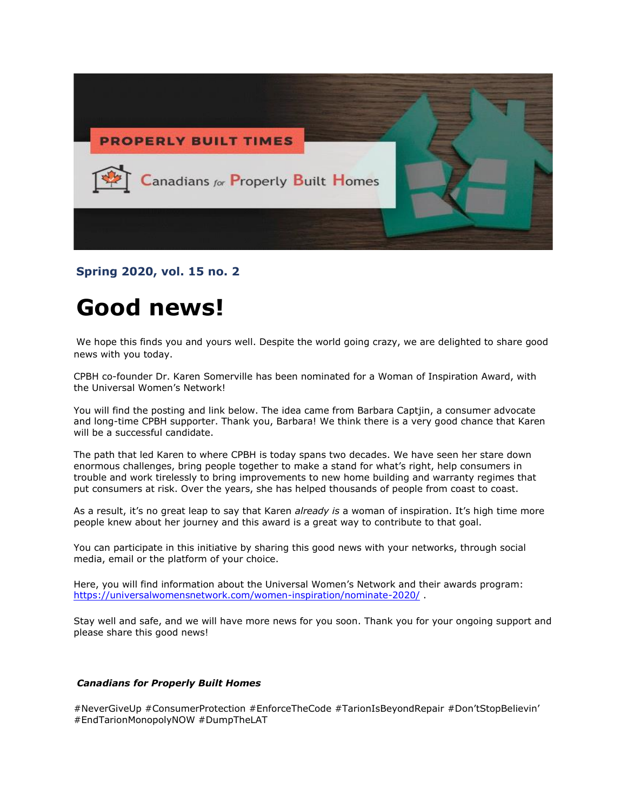

**Spring 2020, vol. 15 no. 2**

# **Good news!**

We hope this finds you and yours well. Despite the world going crazy, we are delighted to share good news with you today.

CPBH co-founder Dr. Karen Somerville has been nominated for a Woman of Inspiration Award, with the Universal Women's Network!

You will find the posting and link below. The idea came from Barbara Captjin, a consumer advocate and long-time CPBH supporter. Thank you, Barbara! We think there is a very good chance that Karen will be a successful candidate.

The path that led Karen to where CPBH is today spans two decades. We have seen her stare down enormous challenges, bring people together to make a stand for what's right, help consumers in trouble and work tirelessly to bring improvements to new home building and warranty regimes that put consumers at risk. Over the years, she has helped thousands of people from coast to coast.

As a result, it's no great leap to say that Karen *already is* a woman of inspiration. It's high time more people knew about her journey and this award is a great way to contribute to that goal.

You can participate in this initiative by sharing this good news with your networks, through social media, email or the platform of your choice.

Here, you will find information about the Universal Women's Network and their awards program: [https://universalwomensnetwork.com/women-inspiration/nominate-2020/](https://eur01.safelinks.protection.outlook.com/?url=https%3A%2F%2Funiversalwomensnetwork.com%2Fwomen-inspiration%2Fnominate-2020%2F&data=02%7C01%7C%7C7e319c636f2242dfbcfc08d7f9b2c16c%7C84df9e7fe9f640afb435aaaaaaaaaaaa%7C1%7C0%7C637252418446063387&sdata=bwwU%2BadjPxYV7IU1XnBAMG2geES9UDzDjc%2FaFDcYBnY%3D&reserved=0).

Stay well and safe, and we will have more news for you soon. Thank you for your ongoing support and please share this good news!

#### *Canadians for Properly Built Homes*

#NeverGiveUp #ConsumerProtection #EnforceTheCode #TarionIsBeyondRepair #Don'tStopBelievin' #EndTarionMonopolyNOW #DumpTheLAT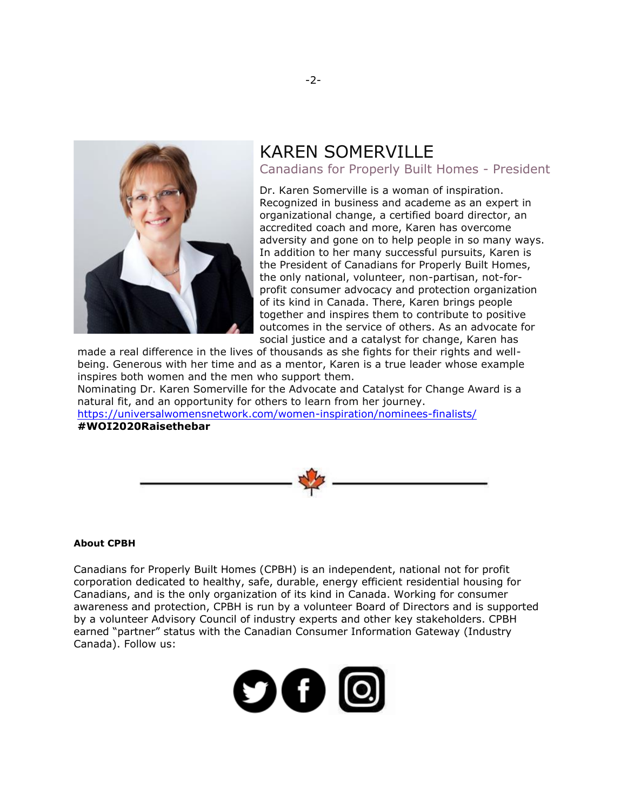

## KAREN SOMERVILLE Canadians for Properly Built Homes - President

Dr. Karen Somerville is a woman of inspiration. Recognized in business and academe as an expert in organizational change, a certified board director, an accredited coach and more, Karen has overcome adversity and gone on to help people in so many ways. In addition to her many successful pursuits, Karen is the President of Canadians for Properly Built Homes, the only national, volunteer, non-partisan, not-forprofit consumer advocacy and protection organization of its kind in Canada. There, Karen brings people together and inspires them to contribute to positive outcomes in the service of others. As an advocate for social justice and a catalyst for change, Karen has

made a real difference in the lives of thousands as she fights for their rights and wellbeing. Generous with her time and as a mentor, Karen is a true leader whose example inspires both women and the men who support them.

Nominating Dr. Karen Somerville for the Advocate and Catalyst for Change Award is a natural fit, and an opportunity for others to learn from her journey.

<https://universalwomensnetwork.com/women-inspiration/nominees-finalists/> **#WOI2020Raisethebar**



#### **About CPBH**

Canadians for Properly Built Homes (CPBH) is an independent, national not for profit corporation dedicated to healthy, safe, durable, energy efficient residential housing for Canadians, and is the only organization of its kind in Canada. Working for consumer awareness and protection, CPBH is run by a volunteer Board of Directors and is supported by a volunteer Advisory Council of industry experts and other key stakeholders. CPBH earned "partner" status with the Canadian Consumer Information Gateway (Industry Canada). Follow us: